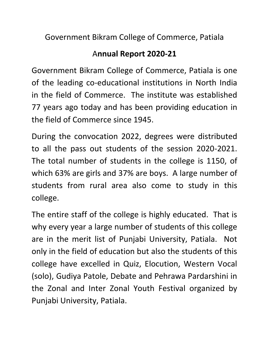Government Bikram College of Commerce, Patiala

## A**nnual Report 2020-21**

Government Bikram College of Commerce, Patiala is one of the leading co-educational institutions in North India in the field of Commerce. The institute was established 77 years ago today and has been providing education in the field of Commerce since 1945.

During the convocation 2022, degrees were distributed to all the pass out students of the session 2020-2021. The total number of students in the college is 1150, of which 63% are girls and 37% are boys. A large number of students from rural area also come to study in this college.

The entire staff of the college is highly educated. That is why every year a large number of students of this college are in the merit list of Punjabi University, Patiala. Not only in the field of education but also the students of this college have excelled in Quiz, Elocution, Western Vocal (solo), Gudiya Patole, Debate and Pehrawa Pardarshini in the Zonal and Inter Zonal Youth Festival organized by Punjabi University, Patiala.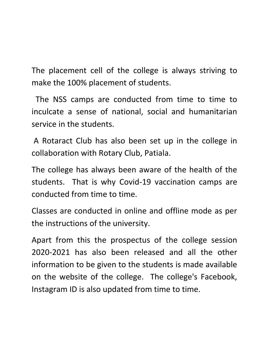The placement cell of the college is always striving to make the 100% placement of students.

 The NSS camps are conducted from time to time to inculcate a sense of national, social and humanitarian service in the students.

A Rotaract Club has also been set up in the college in collaboration with Rotary Club, Patiala.

The college has always been aware of the health of the students. That is why Covid-19 vaccination camps are conducted from time to time.

Classes are conducted in online and offline mode as per the instructions of the university.

Apart from this the prospectus of the college session 2020-2021 has also been released and all the other information to be given to the students is made available on the website of the college. The college's Facebook, Instagram ID is also updated from time to time.